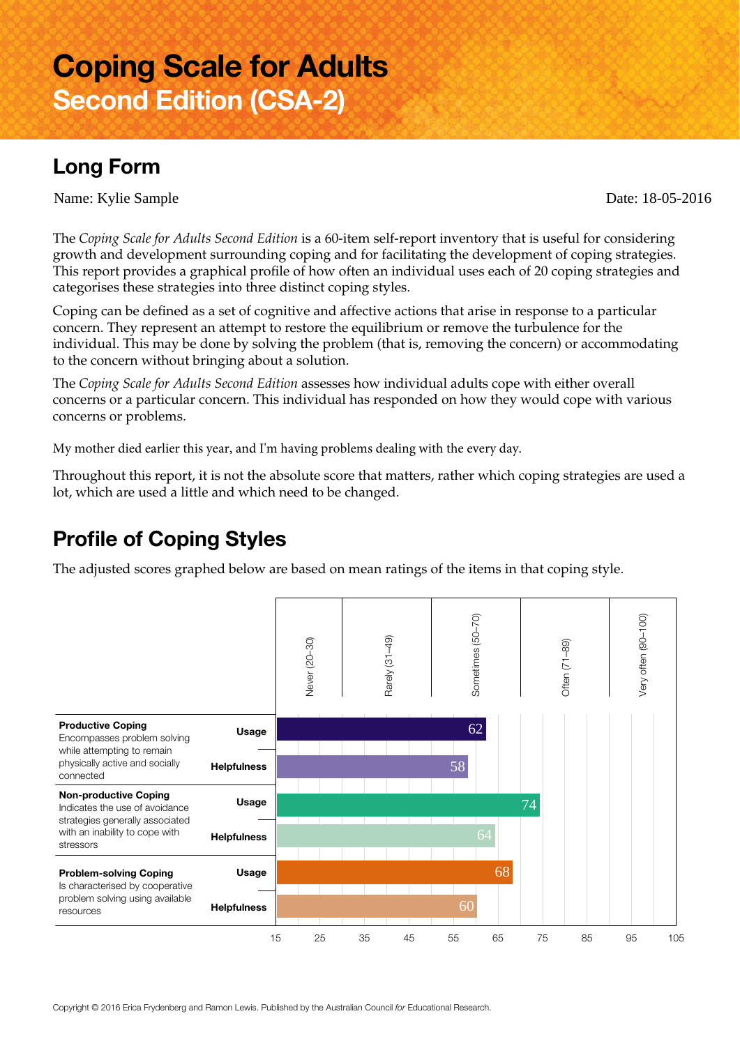# **Coping Scale for Adults Second Edition (CSA-2)**

## **Long Form**

Name: Kylie Sample Date: 18-05-2016

The *Coping Scale for Adults Second Edition* is a 60-item self-report inventory that is useful for considering growth and development surrounding coping and for facilitating the development of coping strategies. This report provides a graphical profile of how often an individual uses each of 20 coping strategies and categorises these strategies into three distinct coping styles.

Coping can be defined as a set of cognitive and affective actions that arise in response to a particular concern. They represent an attempt to restore the equilibrium or remove the turbulence for the individual. This may be done by solving the problem (that is, removing the concern) or accommodating to the concern without bringing about a solution.

The *Coping Scale for Adults Second Edition* assesses how individual adults cope with either overall concerns or a particular concern. This individual has responded on how they would cope with various concerns or problems.

My mother died earlier this year, and I'm having problems dealing with the every day.

Throughout this report, it is not the absolute score that matters, rather which coping strategies are used a lot, which are used a little and which need to be changed.

## **Profile of Coping Styles**

The adjusted scores graphed below are based on mean ratings of the items in that coping style.

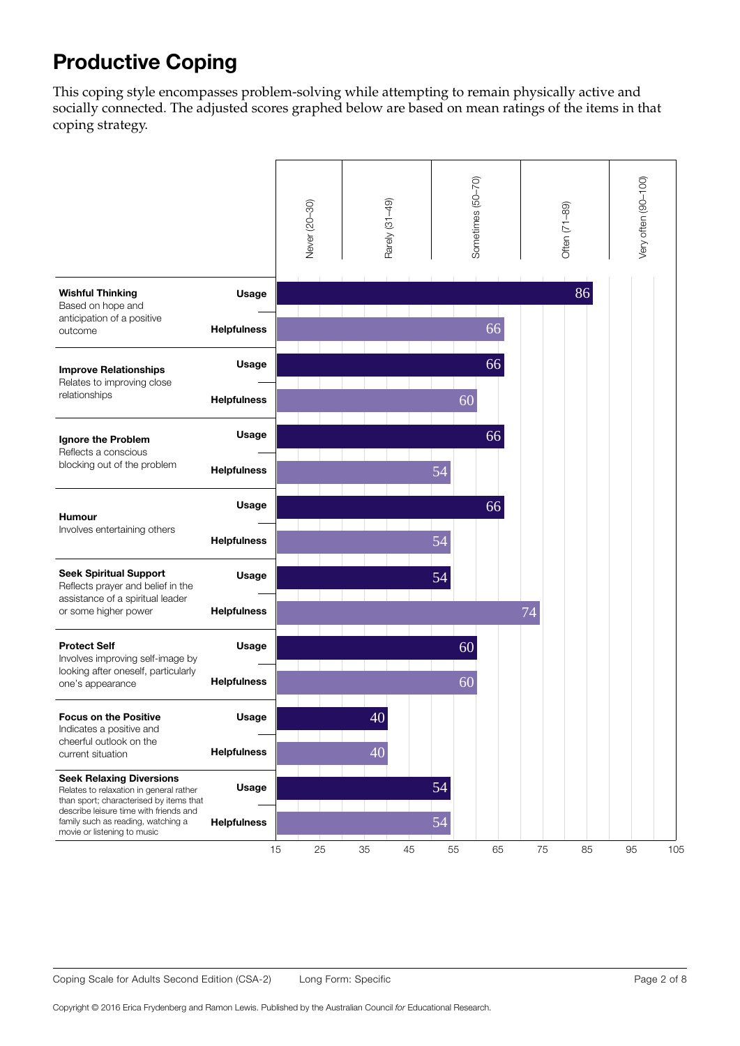# **Productive Coping**

This coping style encompasses problem-solving while attempting to remain physically active and socially connected. The adjusted scores graphed below are based on mean ratings of the items in that coping strategy.

|                                                                                                                                                                                                       |                    | Never (20-30) |  | Rarely (31-49) | Sometimes (50-70) |    |    |    | Often (71-89) |    |    | Very often (90-100) |     |
|-------------------------------------------------------------------------------------------------------------------------------------------------------------------------------------------------------|--------------------|---------------|--|----------------|-------------------|----|----|----|---------------|----|----|---------------------|-----|
| <b>Wishful Thinking</b><br>Based on hope and<br>anticipation of a positive<br>outcome                                                                                                                 | Usage              |               |  |                |                   |    |    |    |               |    | 86 |                     |     |
|                                                                                                                                                                                                       | <b>Helpfulness</b> |               |  |                |                   |    |    | 66 |               |    |    |                     |     |
| <b>Improve Relationships</b><br>Relates to improving close<br>relationships                                                                                                                           | Usage              |               |  |                |                   |    |    | 66 |               |    |    |                     |     |
|                                                                                                                                                                                                       |                    |               |  |                |                   |    |    |    |               |    |    |                     |     |
|                                                                                                                                                                                                       | <b>Helpfulness</b> |               |  |                |                   |    | 60 |    |               |    |    |                     |     |
| Ignore the Problem<br>Reflects a conscious<br>blocking out of the problem                                                                                                                             | Usage              |               |  |                |                   |    |    | 66 |               |    |    |                     |     |
|                                                                                                                                                                                                       | <b>Helpfulness</b> |               |  |                |                   | 54 |    |    |               |    |    |                     |     |
| <b>Humour</b><br>Involves entertaining others                                                                                                                                                         | Usage              |               |  |                |                   |    |    | 66 |               |    |    |                     |     |
|                                                                                                                                                                                                       | <b>Helpfulness</b> |               |  |                |                   | 54 |    |    |               |    |    |                     |     |
|                                                                                                                                                                                                       |                    |               |  |                |                   |    |    |    |               |    |    |                     |     |
| <b>Seek Spiritual Support</b><br>Reflects prayer and belief in the<br>assistance of a spiritual leader<br>or some higher power                                                                        | Usage              |               |  |                |                   | 54 |    |    |               |    |    |                     |     |
|                                                                                                                                                                                                       | <b>Helpfulness</b> |               |  |                |                   |    |    |    | 74            |    |    |                     |     |
| <b>Protect Self</b><br>Involves improving self-image by<br>looking after oneself, particularly<br>one's appearance                                                                                    | Usage              |               |  |                |                   |    | 60 |    |               |    |    |                     |     |
|                                                                                                                                                                                                       |                    |               |  |                |                   |    |    |    |               |    |    |                     |     |
|                                                                                                                                                                                                       | <b>Helpfulness</b> |               |  |                |                   |    | 60 |    |               |    |    |                     |     |
| <b>Focus on the Positive</b><br>Indicates a positive and<br>cheerful outlook on the<br>current situation                                                                                              | Usage              |               |  | 40             |                   |    |    |    |               |    |    |                     |     |
|                                                                                                                                                                                                       | <b>Helpfulness</b> |               |  | 40             |                   |    |    |    |               |    |    |                     |     |
| <b>Seek Relaxing Diversions</b><br>Relates to relaxation in general rather<br>than sport; characterised by items that<br>describe leisure time with friends and<br>family such as reading, watching a | Usage              |               |  |                |                   | 54 |    |    |               |    |    |                     |     |
|                                                                                                                                                                                                       | <b>Helpfulness</b> |               |  |                |                   | 54 |    |    |               |    |    |                     |     |
| movie or listening to music                                                                                                                                                                           |                    | 15<br>25      |  | $35\,$         | 45                | 55 |    | 65 |               | 75 | 85 | 95                  | 105 |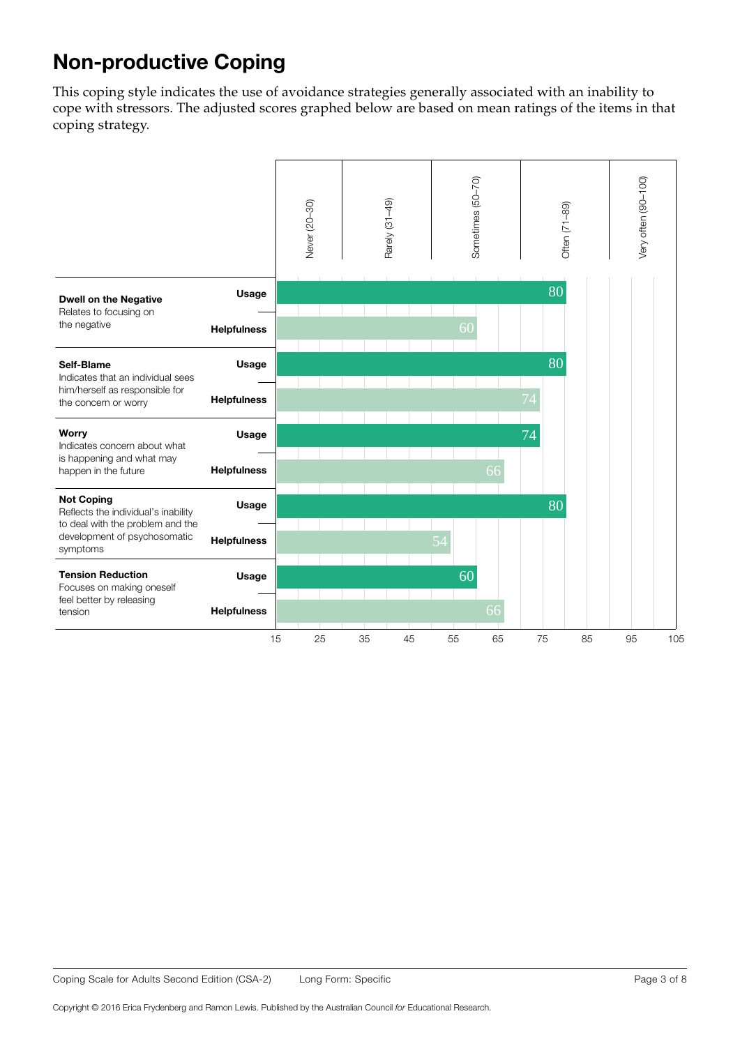# **Non-productive Coping**

This coping style indicates the use of avoidance strategies generally associated with an inability to cope with stressors. The adjusted scores graphed below are based on mean ratings of the items in that coping strategy.

|                                                                                                                                          |                    |    | Never (20-30) | Rarely (31-49) |    | Sometimes (50-70) |    | Often (71-89) |    |    | Very often (90-100) |     |
|------------------------------------------------------------------------------------------------------------------------------------------|--------------------|----|---------------|----------------|----|-------------------|----|---------------|----|----|---------------------|-----|
| <b>Dwell on the Negative</b><br>Relates to focusing on<br>the negative                                                                   | Usage              |    |               |                |    |                   |    |               | 80 |    |                     |     |
|                                                                                                                                          | <b>Helpfulness</b> |    |               |                |    | 60                |    |               |    |    |                     |     |
| Self-Blame<br>Indicates that an individual sees<br>him/herself as responsible for<br>the concern or worry                                | Usage              |    |               |                |    |                   |    |               | 80 |    |                     |     |
|                                                                                                                                          | <b>Helpfulness</b> |    |               |                |    |                   |    | 74            |    |    |                     |     |
| Worry<br>Indicates concern about what<br>is happening and what may<br>happen in the future                                               | Usage              |    |               |                |    |                   |    | 74            |    |    |                     |     |
|                                                                                                                                          | <b>Helpfulness</b> |    |               |                |    |                   | 66 |               |    |    |                     |     |
| <b>Not Coping</b><br>Reflects the individual's inability<br>to deal with the problem and the<br>development of psychosomatic<br>symptoms | Usage              |    |               |                |    |                   |    |               | 80 |    |                     |     |
|                                                                                                                                          | <b>Helpfulness</b> |    |               |                |    |                   |    |               |    |    |                     |     |
| <b>Tension Reduction</b><br>Focuses on making oneself<br>feel better by releasing<br>tension                                             | Usage              |    |               |                |    | 60                |    |               |    |    |                     |     |
|                                                                                                                                          | <b>Helpfulness</b> |    |               |                |    |                   | 66 |               |    |    |                     |     |
|                                                                                                                                          |                    | 15 | 25            | 35             | 45 | 55                | 65 | 75            |    | 85 | 95                  | 105 |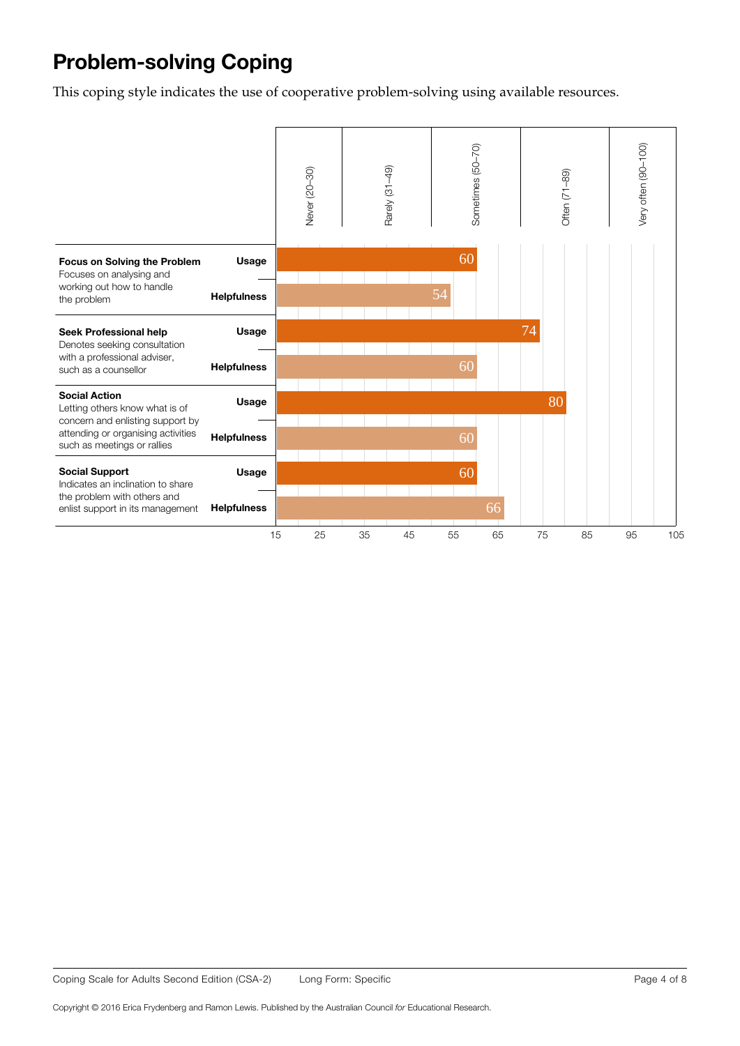# **Problem-solving Coping**

This coping style indicates the use of cooperative problem-solving using available resources.

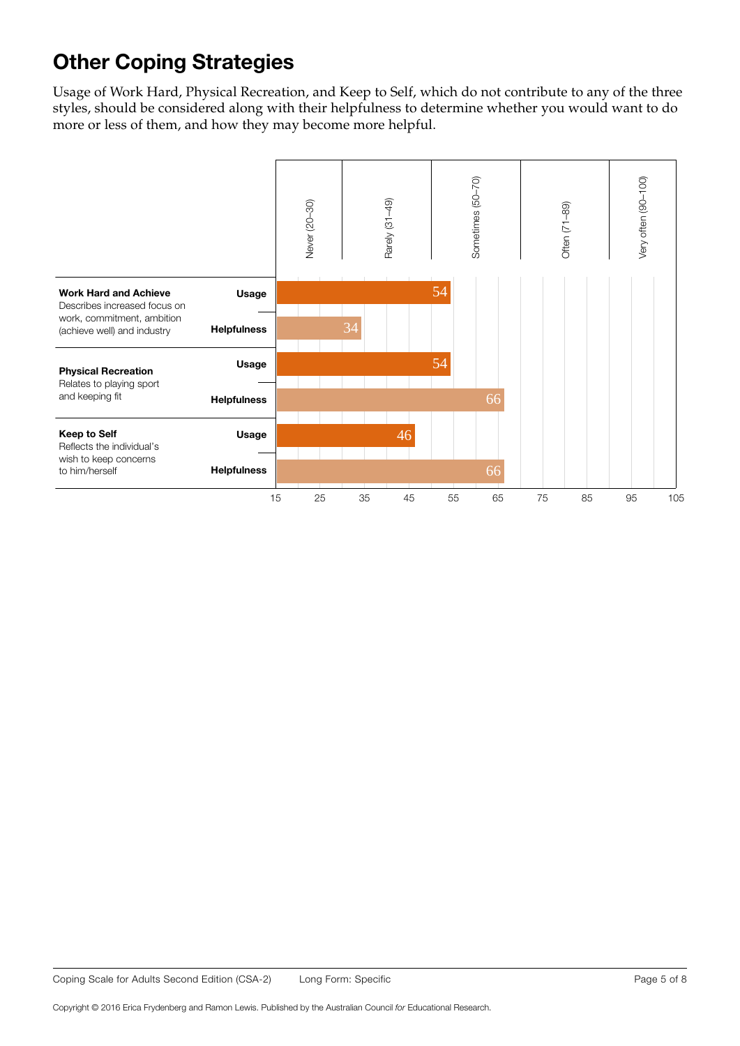# **Other Coping Strategies**

Usage of Work Hard, Physical Recreation, and Keep to Self, which do not contribute to any of the three styles, should be considered along with their helpfulness to determine whether you would want to do more or less of them, and how they may become more helpful.

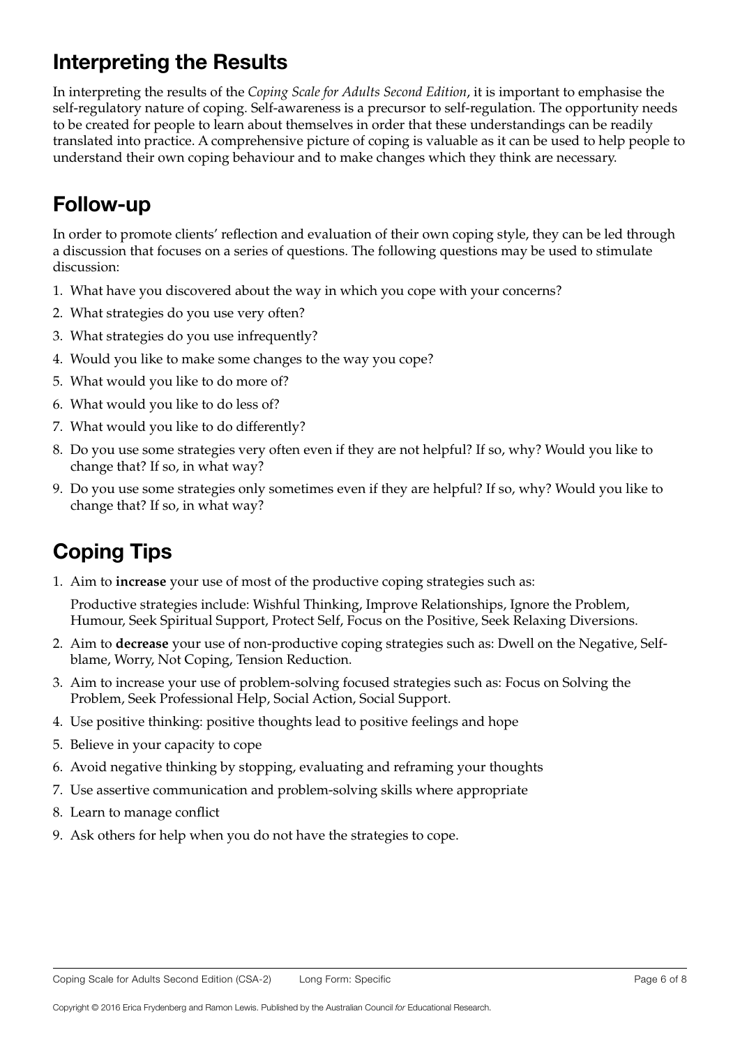## **Interpreting the Results**

In interpreting the results of the *Coping Scale for Adults Second Edition*, it is important to emphasise the self-regulatory nature of coping. Self-awareness is a precursor to self-regulation. The opportunity needs to be created for people to learn about themselves in order that these understandings can be readily translated into practice. A comprehensive picture of coping is valuable as it can be used to help people to understand their own coping behaviour and to make changes which they think are necessary.

#### **Follow-up**

In order to promote clients' reflection and evaluation of their own coping style, they can be led through a discussion that focuses on a series of questions. The following questions may be used to stimulate discussion:

- 1. What have you discovered about the way in which you cope with your concerns?
- 2. What strategies do you use very often?
- 3. What strategies do you use infrequently?
- 4. Would you like to make some changes to the way you cope?
- 5. What would you like to do more of?
- 6. What would you like to do less of?
- 7. What would you like to do differently?
- 8. Do you use some strategies very often even if they are not helpful? If so, why? Would you like to change that? If so, in what way?
- 9. Do you use some strategies only sometimes even if they are helpful? If so, why? Would you like to change that? If so, in what way?

# **Coping Tips**

1. Aim to **increase** your use of most of the productive coping strategies such as:

Productive strategies include: Wishful Thinking, Improve Relationships, Ignore the Problem, Humour, Seek Spiritual Support, Protect Self, Focus on the Positive, Seek Relaxing Diversions.

- 2. Aim to **decrease** your use of non-productive coping strategies such as: Dwell on the Negative, Selfblame, Worry, Not Coping, Tension Reduction.
- 3. Aim to increase your use of problem-solving focused strategies such as: Focus on Solving the Problem, Seek Professional Help, Social Action, Social Support.
- 4. Use positive thinking: positive thoughts lead to positive feelings and hope
- 5. Believe in your capacity to cope
- 6. Avoid negative thinking by stopping, evaluating and reframing your thoughts
- 7. Use assertive communication and problem-solving skills where appropriate
- 8. Learn to manage conflict
- 9. Ask others for help when you do not have the strategies to cope.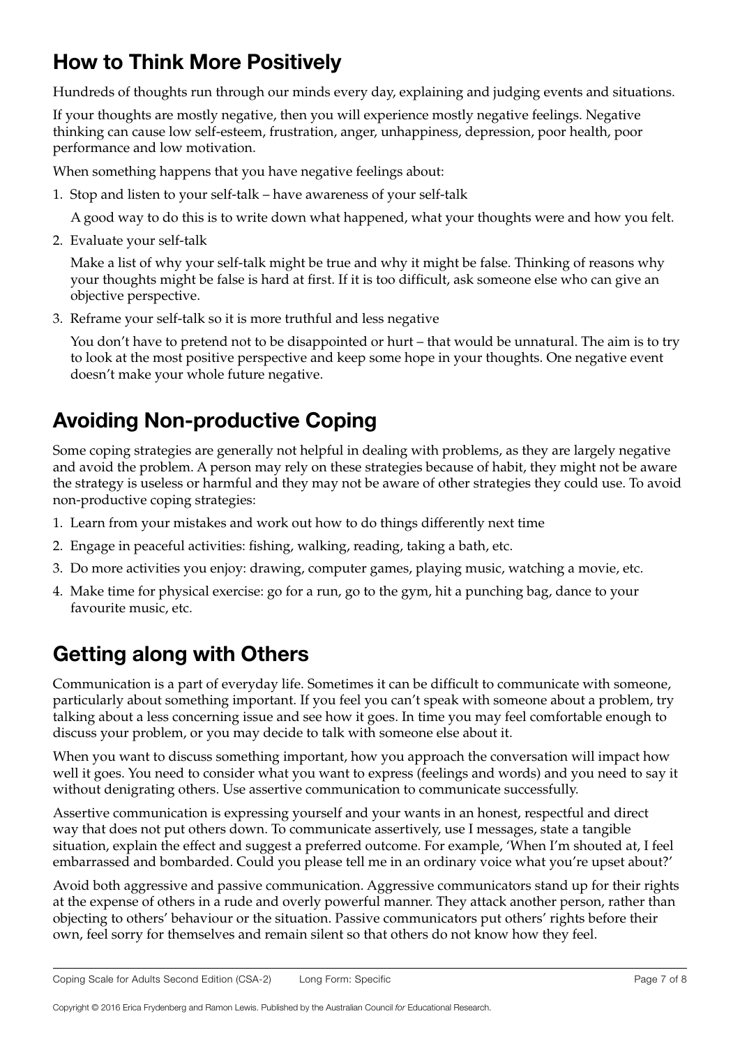## **How to Think More Positively**

Hundreds of thoughts run through our minds every day, explaining and judging events and situations.

If your thoughts are mostly negative, then you will experience mostly negative feelings. Negative thinking can cause low self-esteem, frustration, anger, unhappiness, depression, poor health, poor performance and low motivation.

When something happens that you have negative feelings about:

1. Stop and listen to your self-talk – have awareness of your self-talk

A good way to do this is to write down what happened, what your thoughts were and how you felt.

2. Evaluate your self-talk

Make a list of why your self-talk might be true and why it might be false. Thinking of reasons why your thoughts might be false is hard at first. If it is too difficult, ask someone else who can give an objective perspective.

3. Reframe your self-talk so it is more truthful and less negative

You don't have to pretend not to be disappointed or hurt – that would be unnatural. The aim is to try to look at the most positive perspective and keep some hope in your thoughts. One negative event doesn't make your whole future negative.

## **Avoiding Non-productive Coping**

Some coping strategies are generally not helpful in dealing with problems, as they are largely negative and avoid the problem. A person may rely on these strategies because of habit, they might not be aware the strategy is useless or harmful and they may not be aware of other strategies they could use. To avoid non-productive coping strategies:

- 1. Learn from your mistakes and work out how to do things differently next time
- 2. Engage in peaceful activities: fishing, walking, reading, taking a bath, etc.
- 3. Do more activities you enjoy: drawing, computer games, playing music, watching a movie, etc.
- 4. Make time for physical exercise: go for a run, go to the gym, hit a punching bag, dance to your favourite music, etc.

# **Getting along with Others**

Communication is a part of everyday life. Sometimes it can be difficult to communicate with someone, particularly about something important. If you feel you can't speak with someone about a problem, try talking about a less concerning issue and see how it goes. In time you may feel comfortable enough to discuss your problem, or you may decide to talk with someone else about it.

When you want to discuss something important, how you approach the conversation will impact how well it goes. You need to consider what you want to express (feelings and words) and you need to say it without denigrating others. Use assertive communication to communicate successfully.

Assertive communication is expressing yourself and your wants in an honest, respectful and direct way that does not put others down. To communicate assertively, use I messages, state a tangible situation, explain the effect and suggest a preferred outcome. For example, 'When I'm shouted at, I feel embarrassed and bombarded. Could you please tell me in an ordinary voice what you're upset about?'

Avoid both aggressive and passive communication. Aggressive communicators stand up for their rights at the expense of others in a rude and overly powerful manner. They attack another person, rather than objecting to others' behaviour or the situation. Passive communicators put others' rights before their own, feel sorry for themselves and remain silent so that others do not know how they feel.

Copyright © 2016 Erica Frydenberg and Ramon Lewis. Published by the Australian Council *for* Educational Research.